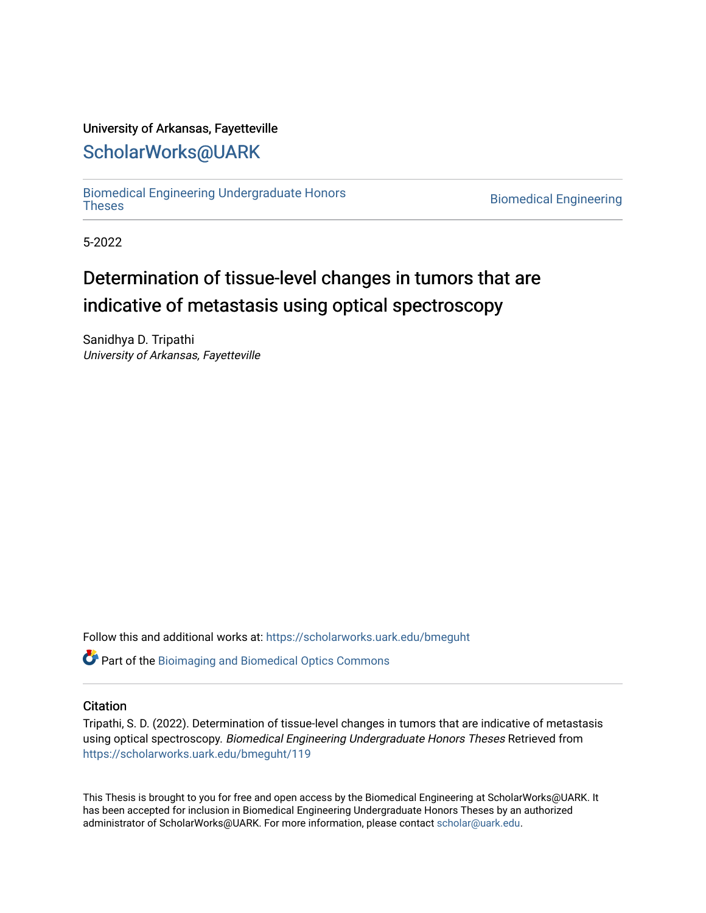# University of Arkansas, Fayetteville

# [ScholarWorks@UARK](https://scholarworks.uark.edu/)

[Biomedical Engineering Undergraduate Honors](https://scholarworks.uark.edu/bmeguht)

**Biomedical Engineering** 

5-2022

# Determination of tissue-level changes in tumors that are indicative of metastasis using optical spectroscopy

Sanidhya D. Tripathi University of Arkansas, Fayetteville

Follow this and additional works at: [https://scholarworks.uark.edu/bmeguht](https://scholarworks.uark.edu/bmeguht?utm_source=scholarworks.uark.edu%2Fbmeguht%2F119&utm_medium=PDF&utm_campaign=PDFCoverPages) 

**C** Part of the [Bioimaging and Biomedical Optics Commons](http://network.bepress.com/hgg/discipline/232?utm_source=scholarworks.uark.edu%2Fbmeguht%2F119&utm_medium=PDF&utm_campaign=PDFCoverPages)

# **Citation**

Tripathi, S. D. (2022). Determination of tissue-level changes in tumors that are indicative of metastasis using optical spectroscopy. Biomedical Engineering Undergraduate Honors Theses Retrieved from [https://scholarworks.uark.edu/bmeguht/119](https://scholarworks.uark.edu/bmeguht/119?utm_source=scholarworks.uark.edu%2Fbmeguht%2F119&utm_medium=PDF&utm_campaign=PDFCoverPages) 

This Thesis is brought to you for free and open access by the Biomedical Engineering at ScholarWorks@UARK. It has been accepted for inclusion in Biomedical Engineering Undergraduate Honors Theses by an authorized administrator of ScholarWorks@UARK. For more information, please contact [scholar@uark.edu](mailto:scholar@uark.edu).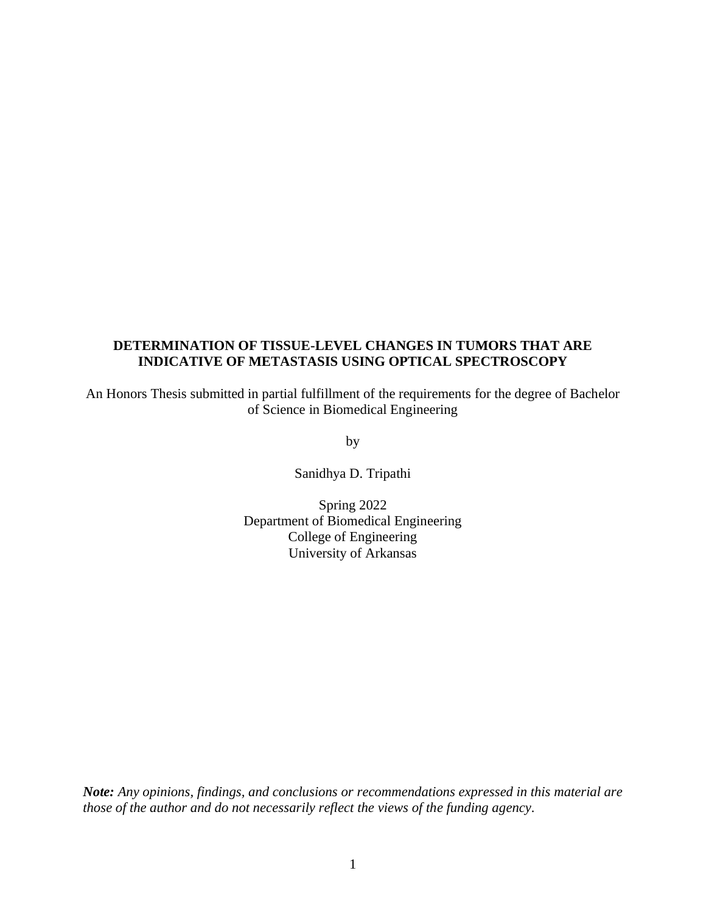# **DETERMINATION OF TISSUE-LEVEL CHANGES IN TUMORS THAT ARE INDICATIVE OF METASTASIS USING OPTICAL SPECTROSCOPY**

An Honors Thesis submitted in partial fulfillment of the requirements for the degree of Bachelor of Science in Biomedical Engineering

by

Sanidhya D. Tripathi

Spring 2022 Department of Biomedical Engineering College of Engineering University of Arkansas

*Note: Any opinions, findings, and conclusions or recommendations expressed in this material are those of the author and do not necessarily reflect the views of the funding agency.*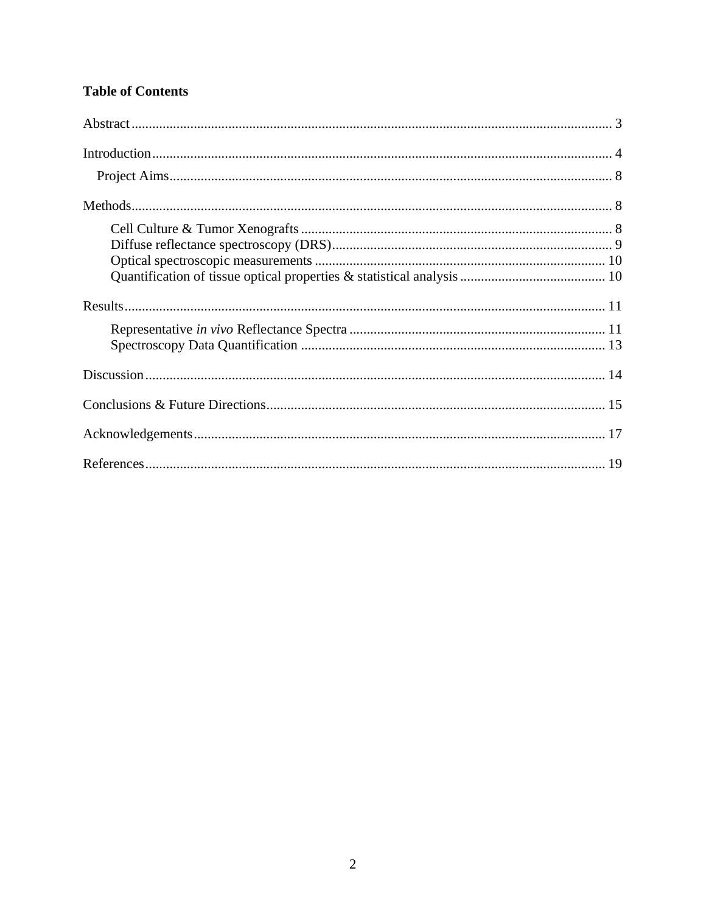# **Table of Contents**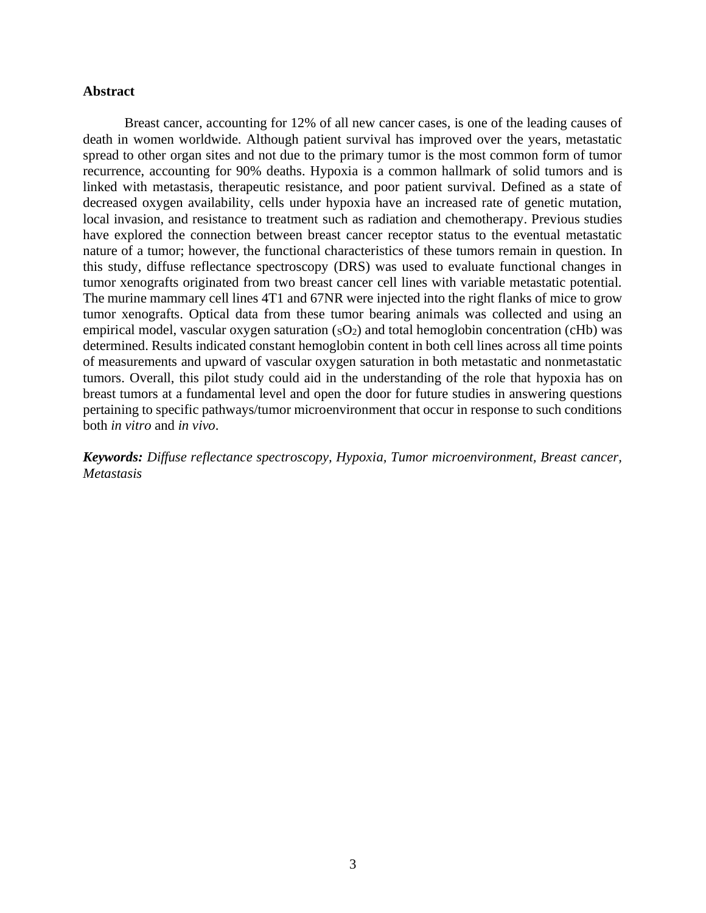# <span id="page-3-0"></span>**Abstract**

Breast cancer, accounting for 12% of all new cancer cases, is one of the leading causes of death in women worldwide. Although patient survival has improved over the years, metastatic spread to other organ sites and not due to the primary tumor is the most common form of tumor recurrence, accounting for 90% deaths. Hypoxia is a common hallmark of solid tumors and is linked with metastasis, therapeutic resistance, and poor patient survival. Defined as a state of decreased oxygen availability, cells under hypoxia have an increased rate of genetic mutation, local invasion, and resistance to treatment such as radiation and chemotherapy. Previous studies have explored the connection between breast cancer receptor status to the eventual metastatic nature of a tumor; however, the functional characteristics of these tumors remain in question. In this study, diffuse reflectance spectroscopy (DRS) was used to evaluate functional changes in tumor xenografts originated from two breast cancer cell lines with variable metastatic potential. The murine mammary cell lines 4T1 and 67NR were injected into the right flanks of mice to grow tumor xenografts. Optical data from these tumor bearing animals was collected and using an empirical model, vascular oxygen saturation  $(SO<sub>2</sub>)$  and total hemoglobin concentration (cHb) was determined. Results indicated constant hemoglobin content in both cell lines across all time points of measurements and upward of vascular oxygen saturation in both metastatic and nonmetastatic tumors. Overall, this pilot study could aid in the understanding of the role that hypoxia has on breast tumors at a fundamental level and open the door for future studies in answering questions pertaining to specific pathways/tumor microenvironment that occur in response to such conditions both *in vitro* and *in vivo*.

*Keywords: Diffuse reflectance spectroscopy, Hypoxia, Tumor microenvironment, Breast cancer, Metastasis*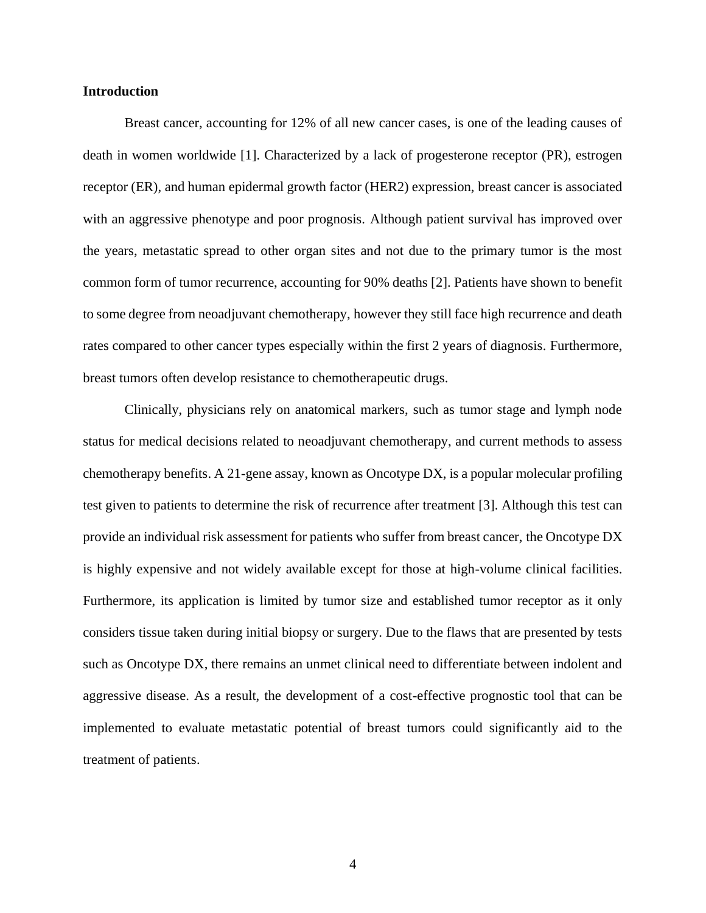#### <span id="page-4-0"></span>**Introduction**

Breast cancer, accounting for 12% of all new cancer cases, is one of the leading causes of death in women worldwide [1]. Characterized by a lack of progesterone receptor (PR), estrogen receptor (ER), and human epidermal growth factor (HER2) expression, breast cancer is associated with an aggressive phenotype and poor prognosis. Although patient survival has improved over the years, metastatic spread to other organ sites and not due to the primary tumor is the most common form of tumor recurrence, accounting for 90% deaths [2]. Patients have shown to benefit to some degree from neoadjuvant chemotherapy, however they still face high recurrence and death rates compared to other cancer types especially within the first 2 years of diagnosis. Furthermore, breast tumors often develop resistance to chemotherapeutic drugs.

Clinically, physicians rely on anatomical markers, such as tumor stage and lymph node status for medical decisions related to neoadjuvant chemotherapy, and current methods to assess chemotherapy benefits. A 21-gene assay, known as Oncotype DX, is a popular molecular profiling test given to patients to determine the risk of recurrence after treatment [3]. Although this test can provide an individual risk assessment for patients who suffer from breast cancer, the Oncotype DX is highly expensive and not widely available except for those at high-volume clinical facilities. Furthermore, its application is limited by tumor size and established tumor receptor as it only considers tissue taken during initial biopsy or surgery. Due to the flaws that are presented by tests such as Oncotype DX, there remains an unmet clinical need to differentiate between indolent and aggressive disease. As a result, the development of a cost-effective prognostic tool that can be implemented to evaluate metastatic potential of breast tumors could significantly aid to the treatment of patients.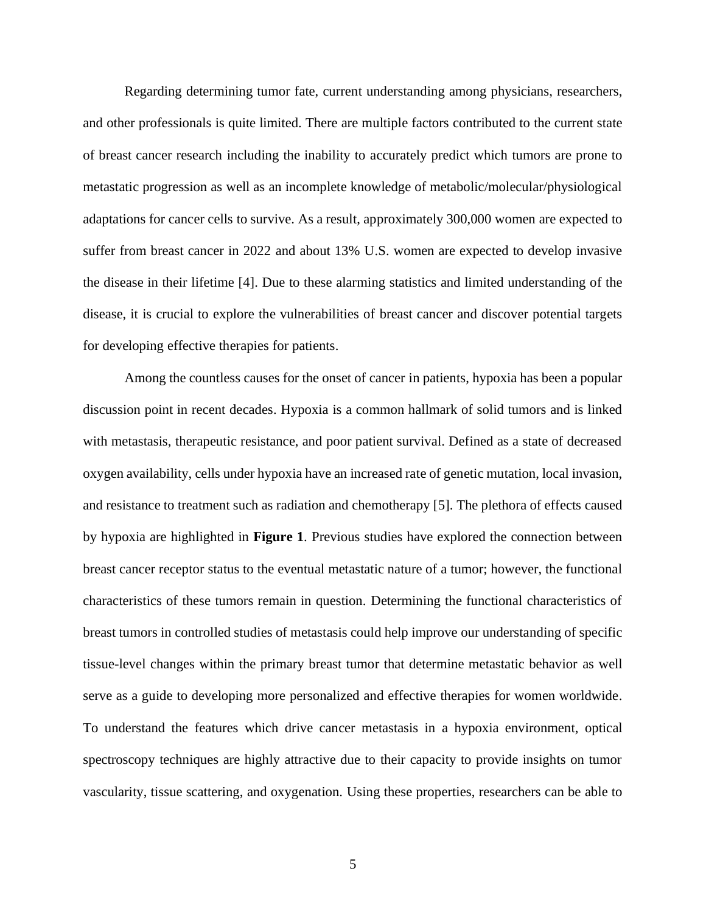Regarding determining tumor fate, current understanding among physicians, researchers, and other professionals is quite limited. There are multiple factors contributed to the current state of breast cancer research including the inability to accurately predict which tumors are prone to metastatic progression as well as an incomplete knowledge of metabolic/molecular/physiological adaptations for cancer cells to survive. As a result, approximately 300,000 women are expected to suffer from breast cancer in 2022 and about 13% U.S. women are expected to develop invasive the disease in their lifetime [4]. Due to these alarming statistics and limited understanding of the disease, it is crucial to explore the vulnerabilities of breast cancer and discover potential targets for developing effective therapies for patients.

Among the countless causes for the onset of cancer in patients, hypoxia has been a popular discussion point in recent decades. Hypoxia is a common hallmark of solid tumors and is linked with metastasis, therapeutic resistance, and poor patient survival. Defined as a state of decreased oxygen availability, cells under hypoxia have an increased rate of genetic mutation, local invasion, and resistance to treatment such as radiation and chemotherapy [5]. The plethora of effects caused by hypoxia are highlighted in **Figure 1**. Previous studies have explored the connection between breast cancer receptor status to the eventual metastatic nature of a tumor; however, the functional characteristics of these tumors remain in question. Determining the functional characteristics of breast tumors in controlled studies of metastasis could help improve our understanding of specific tissue-level changes within the primary breast tumor that determine metastatic behavior as well serve as a guide to developing more personalized and effective therapies for women worldwide. To understand the features which drive cancer metastasis in a hypoxia environment, optical spectroscopy techniques are highly attractive due to their capacity to provide insights on tumor vascularity, tissue scattering, and oxygenation. Using these properties, researchers can be able to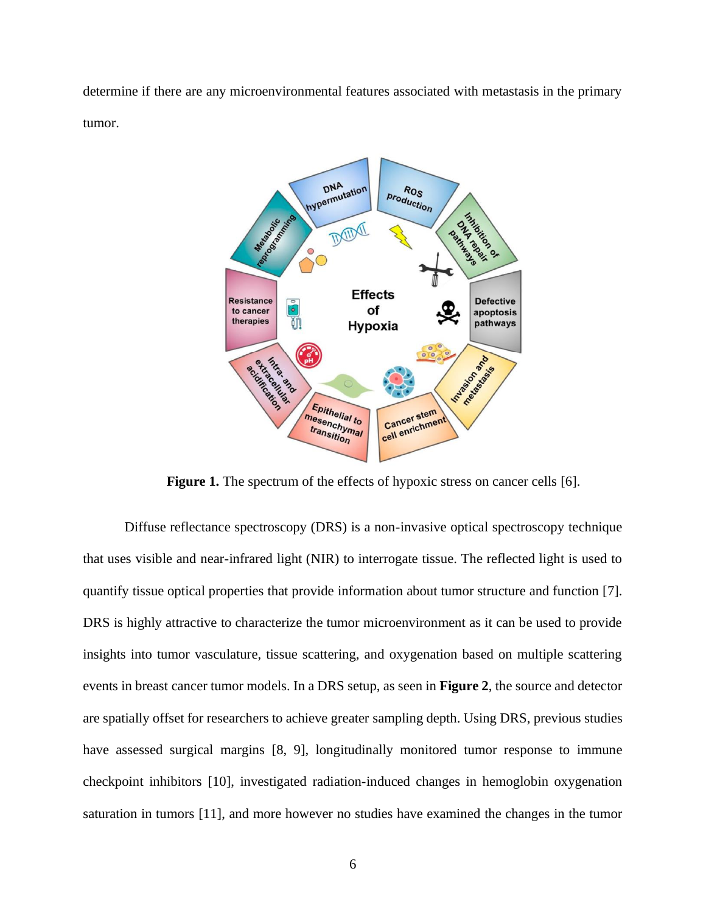determine if there are any microenvironmental features associated with metastasis in the primary tumor.



**Figure 1.** The spectrum of the effects of hypoxic stress on cancer cells [6].

Diffuse reflectance spectroscopy (DRS) is a non-invasive optical spectroscopy technique that uses visible and near-infrared light (NIR) to interrogate tissue. The reflected light is used to quantify tissue optical properties that provide information about tumor structure and function [7]. DRS is highly attractive to characterize the tumor microenvironment as it can be used to provide insights into tumor vasculature, tissue scattering, and oxygenation based on multiple scattering events in breast cancer tumor models. In a DRS setup, as seen in **Figure 2**, the source and detector are spatially offset for researchers to achieve greater sampling depth. Using DRS, previous studies have assessed surgical margins [8, 9], longitudinally monitored tumor response to immune checkpoint inhibitors [10], investigated radiation-induced changes in hemoglobin oxygenation saturation in tumors [11], and more however no studies have examined the changes in the tumor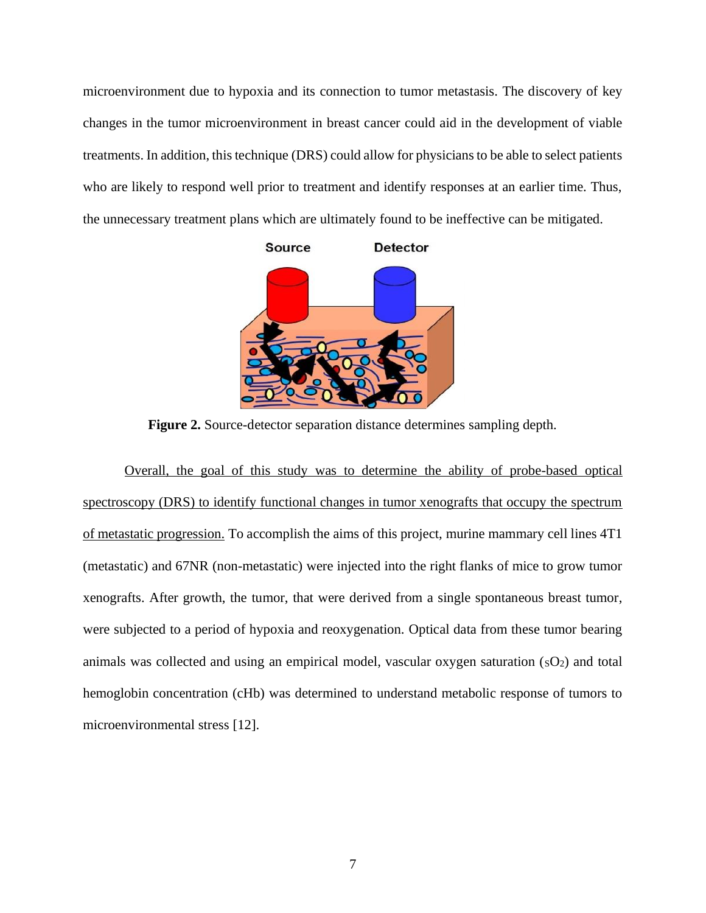microenvironment due to hypoxia and its connection to tumor metastasis. The discovery of key changes in the tumor microenvironment in breast cancer could aid in the development of viable treatments. In addition, this technique (DRS) could allow for physicians to be able to select patients who are likely to respond well prior to treatment and identify responses at an earlier time. Thus, the unnecessary treatment plans which are ultimately found to be ineffective can be mitigated.



**Figure 2.** Source-detector separation distance determines sampling depth.

Overall, the goal of this study was to determine the ability of probe-based optical spectroscopy (DRS) to identify functional changes in tumor xenografts that occupy the spectrum of metastatic progression. To accomplish the aims of this project, murine mammary cell lines 4T1 (metastatic) and 67NR (non-metastatic) were injected into the right flanks of mice to grow tumor xenografts. After growth, the tumor, that were derived from a single spontaneous breast tumor, were subjected to a period of hypoxia and reoxygenation. Optical data from these tumor bearing animals was collected and using an empirical model, vascular oxygen saturation  $(SO<sub>2</sub>)$  and total hemoglobin concentration (cHb) was determined to understand metabolic response of tumors to microenvironmental stress [12].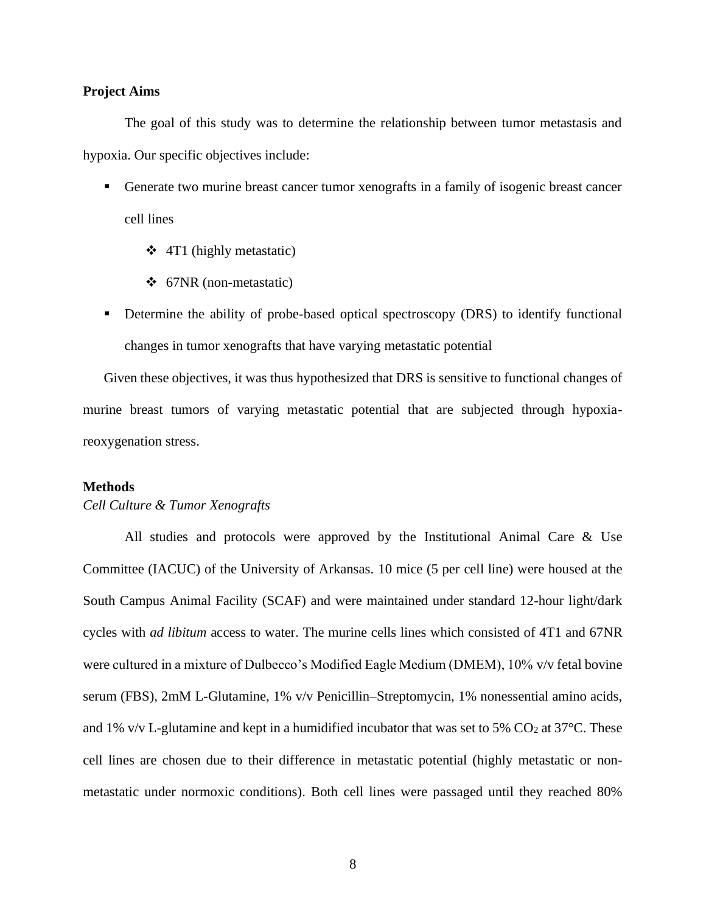### <span id="page-8-0"></span>**Project Aims**

The goal of this study was to determine the relationship between tumor metastasis and hypoxia. Our specific objectives include:

- Generate two murine breast cancer tumor xenografts in a family of isogenic breast cancer cell lines
	- ❖ 4T1 (highly metastatic)
	- ❖ 67NR (non-metastatic)
- **•** Determine the ability of probe-based optical spectroscopy (DRS) to identify functional changes in tumor xenografts that have varying metastatic potential

Given these objectives, it was thus hypothesized that DRS is sensitive to functional changes of murine breast tumors of varying metastatic potential that are subjected through hypoxiareoxygenation stress.

#### <span id="page-8-1"></span>**Methods**

#### <span id="page-8-2"></span>*Cell Culture & Tumor Xenografts*

All studies and protocols were approved by the Institutional Animal Care & Use Committee (IACUC) of the University of Arkansas. 10 mice (5 per cell line) were housed at the South Campus Animal Facility (SCAF) and were maintained under standard 12-hour light/dark cycles with *ad libitum* access to water. The murine cells lines which consisted of 4T1 and 67NR were cultured in a mixture of Dulbecco's Modified Eagle Medium (DMEM), 10% v/v fetal bovine serum (FBS), 2mM L-Glutamine, 1% v/v Penicillin–Streptomycin, 1% nonessential amino acids, and 1% v/v L-glutamine and kept in a humidified incubator that was set to 5%  $CO<sub>2</sub>$  at 37°C. These cell lines are chosen due to their difference in metastatic potential (highly metastatic or nonmetastatic under normoxic conditions). Both cell lines were passaged until they reached 80%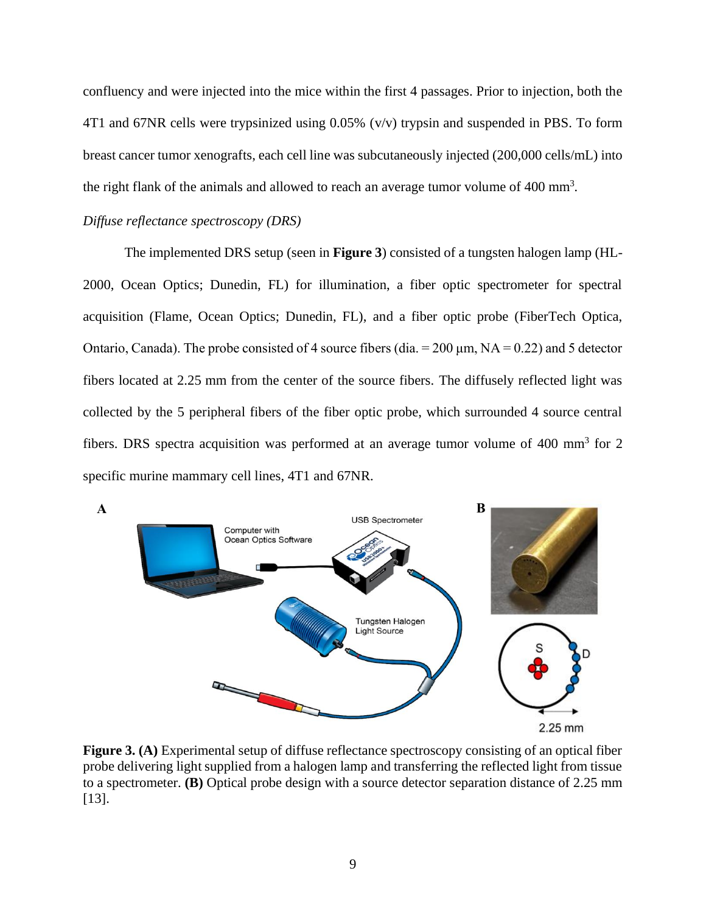confluency and were injected into the mice within the first 4 passages. Prior to injection, both the 4T1 and 67NR cells were trypsinized using 0.05% (v/v) trypsin and suspended in PBS. To form breast cancer tumor xenografts, each cell line was subcutaneously injected (200,000 cells/mL) into the right flank of the animals and allowed to reach an average tumor volume of 400 mm<sup>3</sup> *.*

#### <span id="page-9-0"></span>*Diffuse reflectance spectroscopy (DRS)*

The implemented DRS setup (seen in **Figure 3**) consisted of a tungsten halogen lamp (HL-2000, Ocean Optics; Dunedin, FL) for illumination, a fiber optic spectrometer for spectral acquisition (Flame, Ocean Optics; Dunedin, FL), and a fiber optic probe (FiberTech Optica, Ontario, Canada). The probe consisted of 4 source fibers (dia. =  $200 \mu m$ , NA = 0.22) and 5 detector fibers located at 2.25 mm from the center of the source fibers. The diffusely reflected light was collected by the 5 peripheral fibers of the fiber optic probe, which surrounded 4 source central fibers. DRS spectra acquisition was performed at an average tumor volume of 400 mm<sup>3</sup> for 2 specific murine mammary cell lines, 4T1 and 67NR.



**Figure 3. (A)** Experimental setup of diffuse reflectance spectroscopy consisting of an optical fiber probe delivering light supplied from a halogen lamp and transferring the reflected light from tissue to a spectrometer. **(B)** Optical probe design with a source detector separation distance of 2.25 mm [13].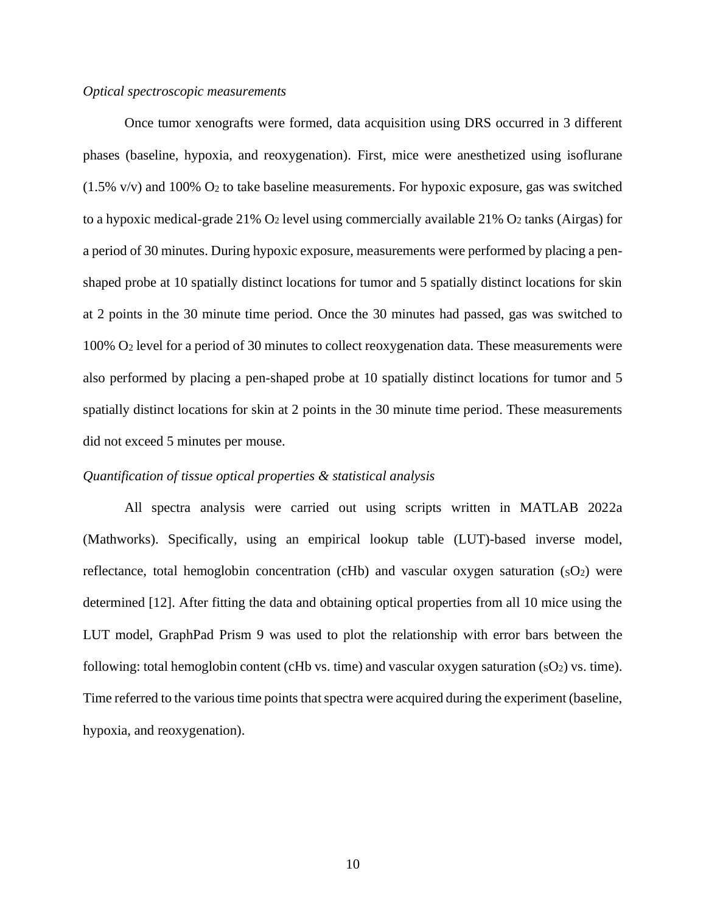#### <span id="page-10-0"></span>*Optical spectroscopic measurements*

Once tumor xenografts were formed, data acquisition using DRS occurred in 3 different phases (baseline, hypoxia, and reoxygenation). First, mice were anesthetized using isoflurane  $(1.5\% \text{ v/v})$  and 100% O<sub>2</sub> to take baseline measurements. For hypoxic exposure, gas was switched to a hypoxic medical-grade 21%  $O_2$  level using commercially available 21%  $O_2$  tanks (Airgas) for a period of 30 minutes. During hypoxic exposure, measurements were performed by placing a penshaped probe at 10 spatially distinct locations for tumor and 5 spatially distinct locations for skin at 2 points in the 30 minute time period. Once the 30 minutes had passed, gas was switched to 100% O<sup>2</sup> level for a period of 30 minutes to collect reoxygenation data. These measurements were also performed by placing a pen-shaped probe at 10 spatially distinct locations for tumor and 5 spatially distinct locations for skin at 2 points in the 30 minute time period. These measurements did not exceed 5 minutes per mouse.

#### <span id="page-10-1"></span>*Quantification of tissue optical properties & statistical analysis*

All spectra analysis were carried out using scripts written in MATLAB 2022a (Mathworks). Specifically, using an empirical lookup table (LUT)-based inverse model, reflectance, total hemoglobin concentration (cHb) and vascular oxygen saturation  $(SO<sub>2</sub>)$  were determined [12]. After fitting the data and obtaining optical properties from all 10 mice using the LUT model, GraphPad Prism 9 was used to plot the relationship with error bars between the following: total hemoglobin content (cHb vs. time) and vascular oxygen saturation  $(sO_2)$  vs. time). Time referred to the various time points that spectra were acquired during the experiment (baseline, hypoxia, and reoxygenation).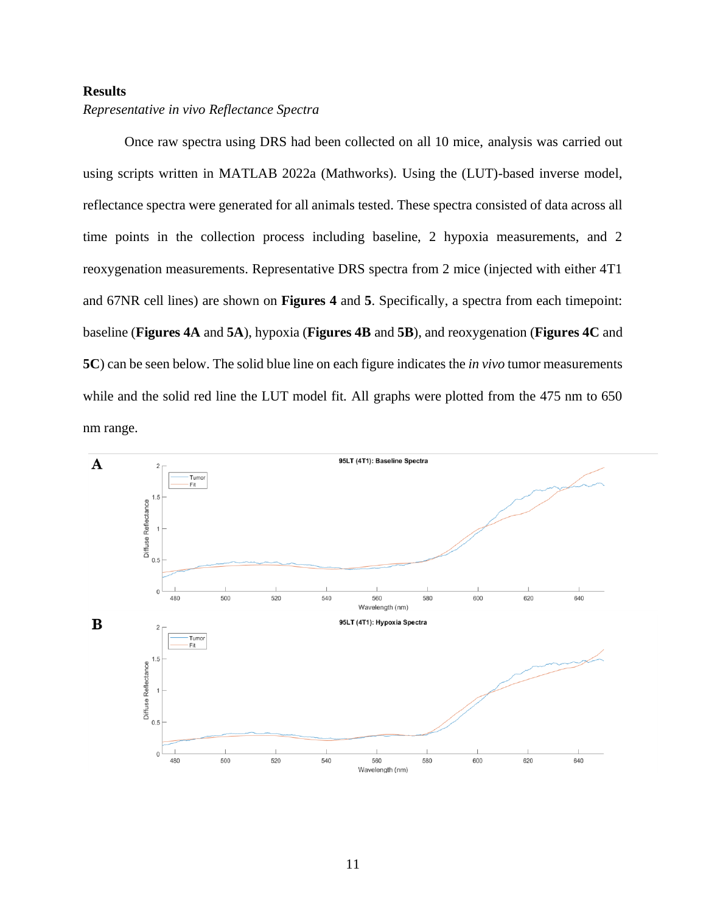# <span id="page-11-0"></span>**Results**

# <span id="page-11-1"></span>*Representative in vivo Reflectance Spectra*

Once raw spectra using DRS had been collected on all 10 mice, analysis was carried out using scripts written in MATLAB 2022a (Mathworks). Using the (LUT)-based inverse model, reflectance spectra were generated for all animals tested. These spectra consisted of data across all time points in the collection process including baseline, 2 hypoxia measurements, and 2 reoxygenation measurements. Representative DRS spectra from 2 mice (injected with either 4T1 and 67NR cell lines) are shown on **Figures 4** and **5**. Specifically, a spectra from each timepoint: baseline (**Figures 4A** and **5A**), hypoxia (**Figures 4B** and **5B**), and reoxygenation (**Figures 4C** and **5C**) can be seen below. The solid blue line on each figure indicates the *in vivo* tumor measurements while and the solid red line the LUT model fit. All graphs were plotted from the 475 nm to 650 nm range.

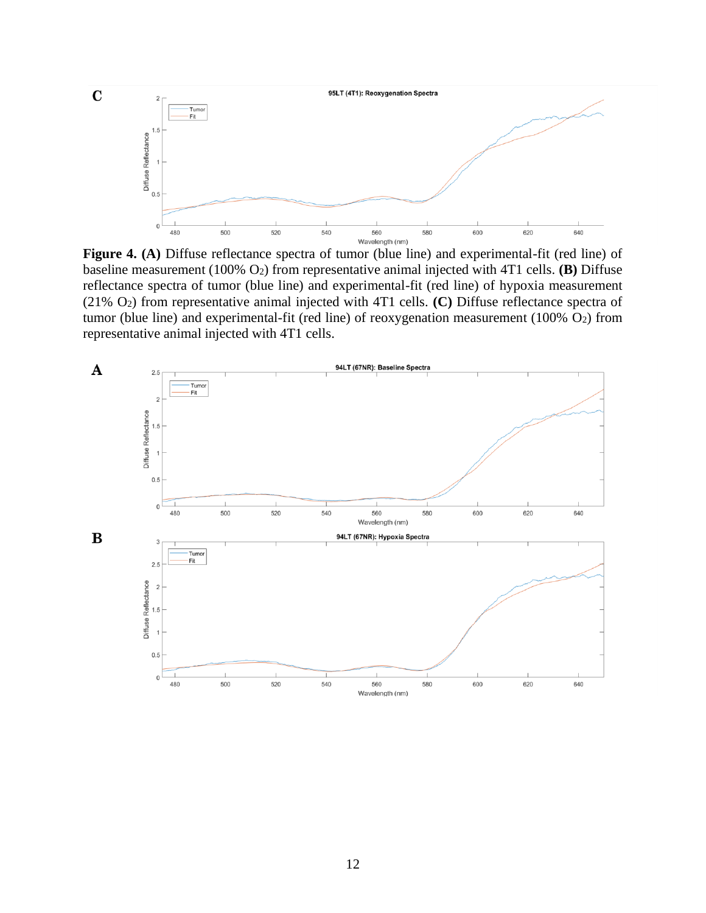

**Figure 4. (A)** Diffuse reflectance spectra of tumor (blue line) and experimental-fit (red line) of baseline measurement (100% O2) from representative animal injected with 4T1 cells. **(B)** Diffuse reflectance spectra of tumor (blue line) and experimental-fit (red line) of hypoxia measurement (21% O2) from representative animal injected with 4T1 cells. **(C)** Diffuse reflectance spectra of tumor (blue line) and experimental-fit (red line) of reoxygenation measurement (100% O2) from representative animal injected with 4T1 cells.

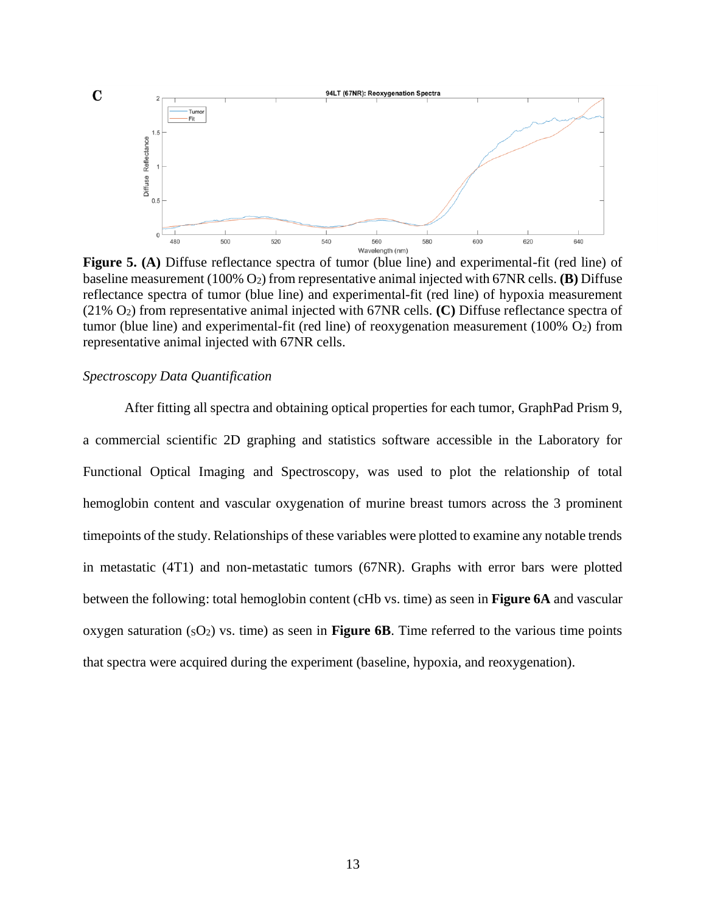

**Figure 5. (A)** Diffuse reflectance spectra of tumor (blue line) and experimental-fit (red line) of baseline measurement (100% O2) from representative animal injected with 67NR cells. **(B)** Diffuse reflectance spectra of tumor (blue line) and experimental-fit (red line) of hypoxia measurement (21% O2) from representative animal injected with 67NR cells. **(C)** Diffuse reflectance spectra of tumor (blue line) and experimental-fit (red line) of reoxygenation measurement (100% O2) from representative animal injected with 67NR cells.

## <span id="page-13-0"></span>*Spectroscopy Data Quantification*

After fitting all spectra and obtaining optical properties for each tumor, GraphPad Prism 9, a commercial scientific 2D graphing and statistics software accessible in the Laboratory for Functional Optical Imaging and Spectroscopy, was used to plot the relationship of total hemoglobin content and vascular oxygenation of murine breast tumors across the 3 prominent timepoints of the study. Relationships of these variables were plotted to examine any notable trends in metastatic (4T1) and non-metastatic tumors (67NR). Graphs with error bars were plotted between the following: total hemoglobin content (cHb vs. time) as seen in **Figure 6A** and vascular oxygen saturation  $(sO_2)$  vs. time) as seen in **Figure 6B**. Time referred to the various time points that spectra were acquired during the experiment (baseline, hypoxia, and reoxygenation).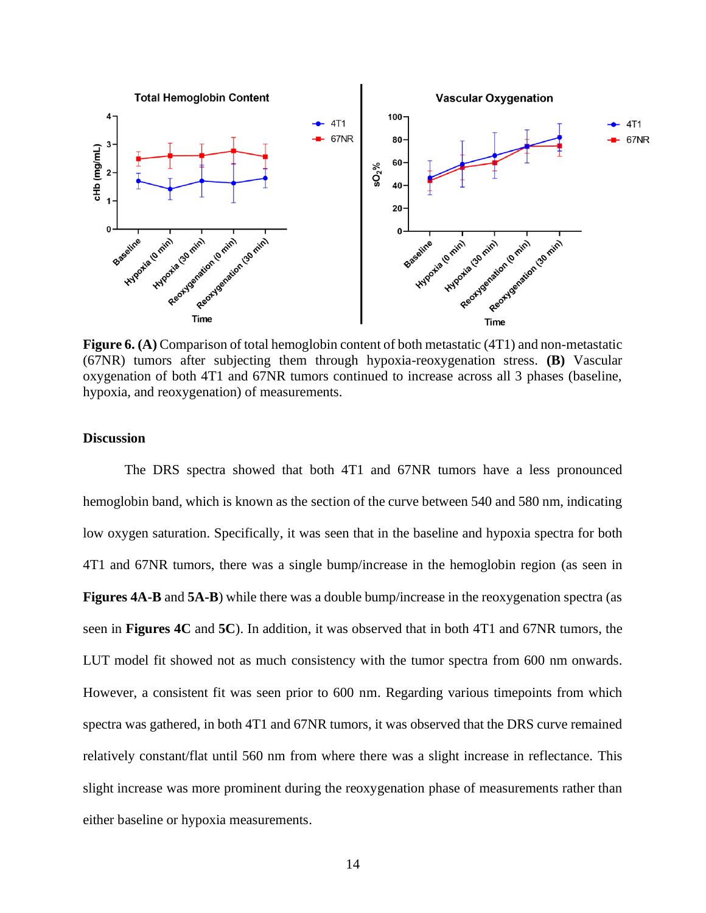

**Figure 6. (A)** Comparison of total hemoglobin content of both metastatic (4T1) and non-metastatic (67NR) tumors after subjecting them through hypoxia-reoxygenation stress. **(B)** Vascular oxygenation of both 4T1 and 67NR tumors continued to increase across all 3 phases (baseline, hypoxia, and reoxygenation) of measurements.

# <span id="page-14-0"></span>**Discussion**

The DRS spectra showed that both 4T1 and 67NR tumors have a less pronounced hemoglobin band, which is known as the section of the curve between 540 and 580 nm, indicating low oxygen saturation. Specifically, it was seen that in the baseline and hypoxia spectra for both 4T1 and 67NR tumors, there was a single bump/increase in the hemoglobin region (as seen in **Figures 4A-B** and **5A-B**) while there was a double bump/increase in the reoxygenation spectra (as seen in **Figures 4C** and **5C**). In addition, it was observed that in both 4T1 and 67NR tumors, the LUT model fit showed not as much consistency with the tumor spectra from 600 nm onwards. However, a consistent fit was seen prior to 600 nm. Regarding various timepoints from which spectra was gathered, in both 4T1 and 67NR tumors, it was observed that the DRS curve remained relatively constant/flat until 560 nm from where there was a slight increase in reflectance. This slight increase was more prominent during the reoxygenation phase of measurements rather than either baseline or hypoxia measurements.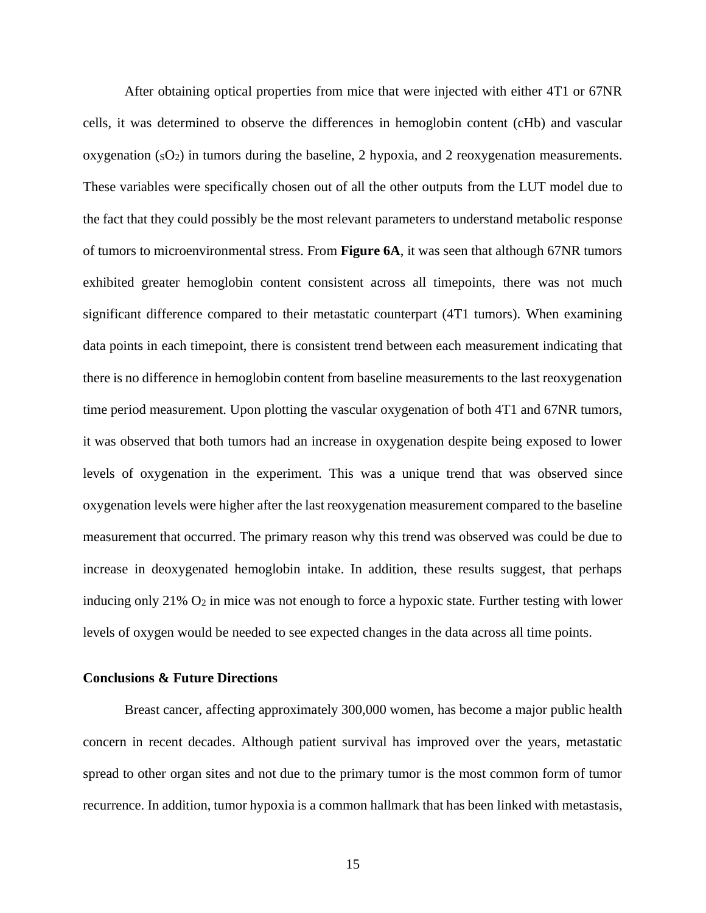After obtaining optical properties from mice that were injected with either 4T1 or 67NR cells, it was determined to observe the differences in hemoglobin content (cHb) and vascular oxygenation  $(sO<sub>2</sub>)$  in tumors during the baseline, 2 hypoxia, and 2 reoxygenation measurements. These variables were specifically chosen out of all the other outputs from the LUT model due to the fact that they could possibly be the most relevant parameters to understand metabolic response of tumors to microenvironmental stress. From **Figure 6A**, it was seen that although 67NR tumors exhibited greater hemoglobin content consistent across all timepoints, there was not much significant difference compared to their metastatic counterpart (4T1 tumors). When examining data points in each timepoint, there is consistent trend between each measurement indicating that there is no difference in hemoglobin content from baseline measurements to the last reoxygenation time period measurement. Upon plotting the vascular oxygenation of both 4T1 and 67NR tumors, it was observed that both tumors had an increase in oxygenation despite being exposed to lower levels of oxygenation in the experiment. This was a unique trend that was observed since oxygenation levels were higher after the last reoxygenation measurement compared to the baseline measurement that occurred. The primary reason why this trend was observed was could be due to increase in deoxygenated hemoglobin intake. In addition, these results suggest, that perhaps inducing only 21% O<sub>2</sub> in mice was not enough to force a hypoxic state. Further testing with lower levels of oxygen would be needed to see expected changes in the data across all time points.

## <span id="page-15-0"></span>**Conclusions & Future Directions**

Breast cancer, affecting approximately 300,000 women, has become a major public health concern in recent decades. Although patient survival has improved over the years, metastatic spread to other organ sites and not due to the primary tumor is the most common form of tumor recurrence. In addition, tumor hypoxia is a common hallmark that has been linked with metastasis,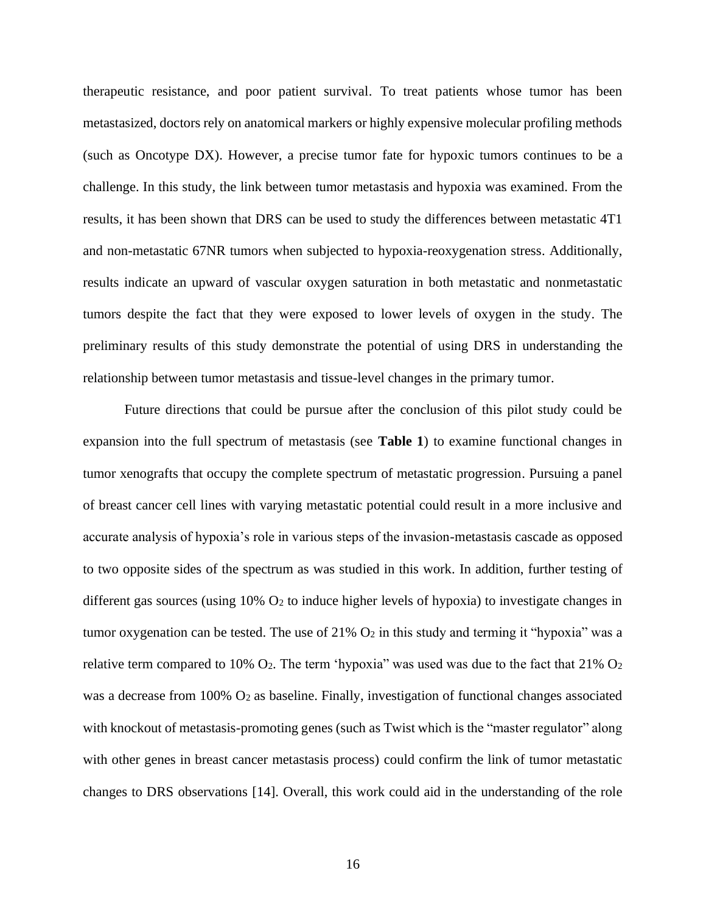therapeutic resistance, and poor patient survival. To treat patients whose tumor has been metastasized, doctors rely on anatomical markers or highly expensive molecular profiling methods (such as Oncotype DX). However, a precise tumor fate for hypoxic tumors continues to be a challenge. In this study, the link between tumor metastasis and hypoxia was examined. From the results, it has been shown that DRS can be used to study the differences between metastatic 4T1 and non-metastatic 67NR tumors when subjected to hypoxia-reoxygenation stress. Additionally, results indicate an upward of vascular oxygen saturation in both metastatic and nonmetastatic tumors despite the fact that they were exposed to lower levels of oxygen in the study. The preliminary results of this study demonstrate the potential of using DRS in understanding the relationship between tumor metastasis and tissue-level changes in the primary tumor.

Future directions that could be pursue after the conclusion of this pilot study could be expansion into the full spectrum of metastasis (see **Table 1**) to examine functional changes in tumor xenografts that occupy the complete spectrum of metastatic progression. Pursuing a panel of breast cancer cell lines with varying metastatic potential could result in a more inclusive and accurate analysis of hypoxia's role in various steps of the invasion-metastasis cascade as opposed to two opposite sides of the spectrum as was studied in this work. In addition, further testing of different gas sources (using  $10\%$  O<sub>2</sub> to induce higher levels of hypoxia) to investigate changes in tumor oxygenation can be tested. The use of  $21\%$  O<sub>2</sub> in this study and terming it "hypoxia" was a relative term compared to 10%  $O_2$ . The term 'hypoxia'' was used was due to the fact that 21%  $O_2$ was a decrease from 100% O<sub>2</sub> as baseline. Finally, investigation of functional changes associated with knockout of metastasis-promoting genes (such as Twist which is the "master regulator" along with other genes in breast cancer metastasis process) could confirm the link of tumor metastatic changes to DRS observations [14]. Overall, this work could aid in the understanding of the role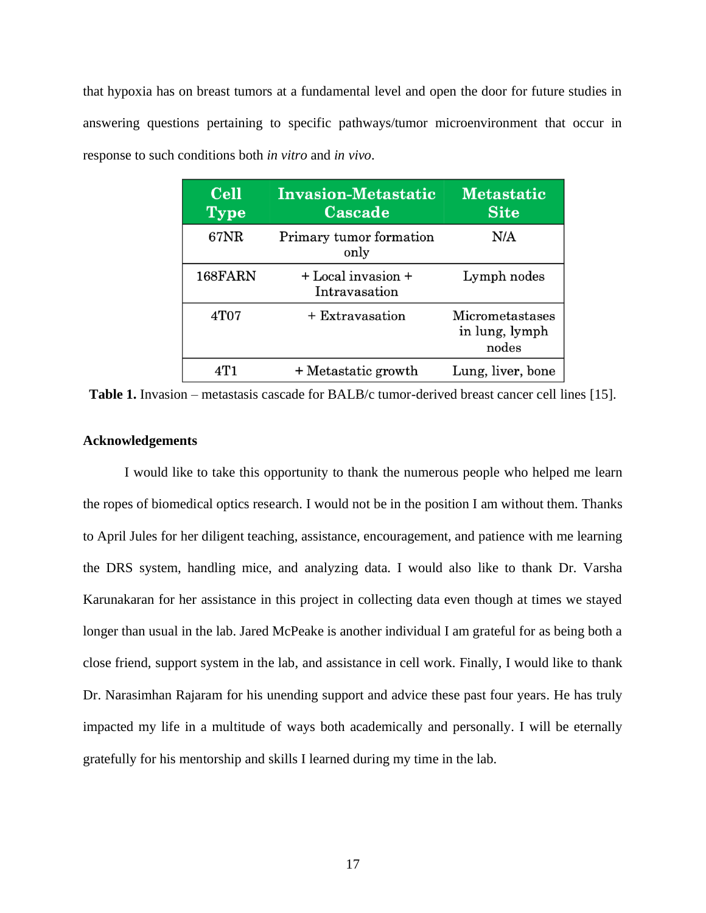that hypoxia has on breast tumors at a fundamental level and open the door for future studies in answering questions pertaining to specific pathways/tumor microenvironment that occur in response to such conditions both *in vitro* and *in vivo*.

| <b>Cell</b><br><b>Type</b> | <b>Invasion-Metastatic</b><br>Cascade | <b>Metastatic</b><br><b>Site</b>           |
|----------------------------|---------------------------------------|--------------------------------------------|
| <b>67NR</b>                | Primary tumor formation<br>only       | N/A                                        |
| 168FARN                    | + Local invasion +<br>Intravasation   | Lymph nodes                                |
| 4T07                       | + Extravasation                       | Micrometastases<br>in lung, lymph<br>nodes |
| 4T 1                       | + Metastatic growth                   | Lung, liver, bone                          |

**Table 1.** Invasion – metastasis cascade for BALB/c tumor-derived breast cancer cell lines [15].

#### <span id="page-17-0"></span>**Acknowledgements**

I would like to take this opportunity to thank the numerous people who helped me learn the ropes of biomedical optics research. I would not be in the position I am without them. Thanks to April Jules for her diligent teaching, assistance, encouragement, and patience with me learning the DRS system, handling mice, and analyzing data. I would also like to thank Dr. Varsha Karunakaran for her assistance in this project in collecting data even though at times we stayed longer than usual in the lab. Jared McPeake is another individual I am grateful for as being both a close friend, support system in the lab, and assistance in cell work. Finally, I would like to thank Dr. Narasimhan Rajaram for his unending support and advice these past four years. He has truly impacted my life in a multitude of ways both academically and personally. I will be eternally gratefully for his mentorship and skills I learned during my time in the lab.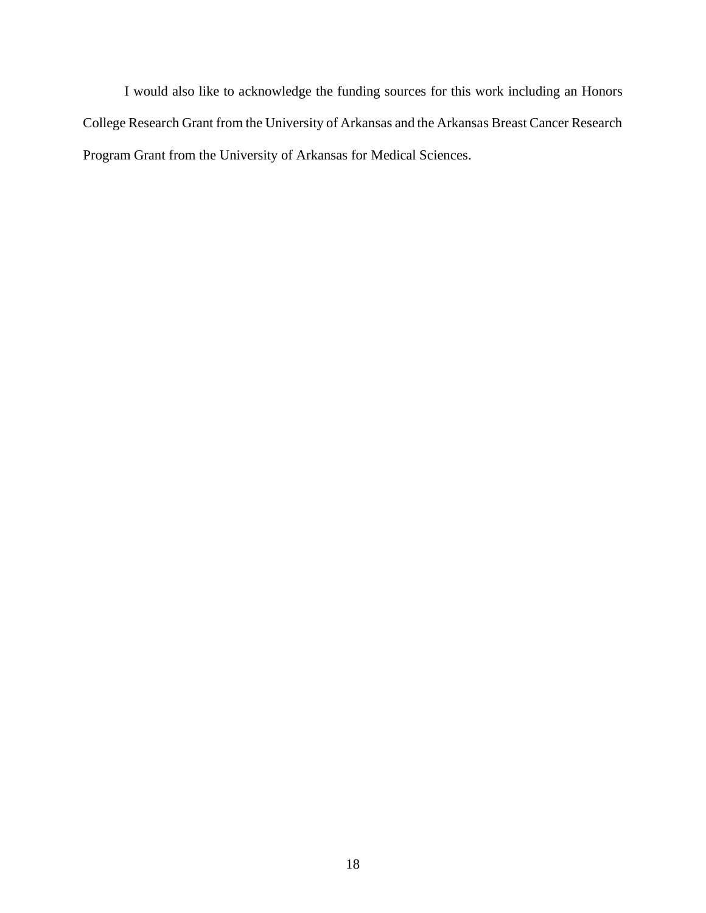I would also like to acknowledge the funding sources for this work including an Honors College Research Grant from the University of Arkansas and the Arkansas Breast Cancer Research Program Grant from the University of Arkansas for Medical Sciences.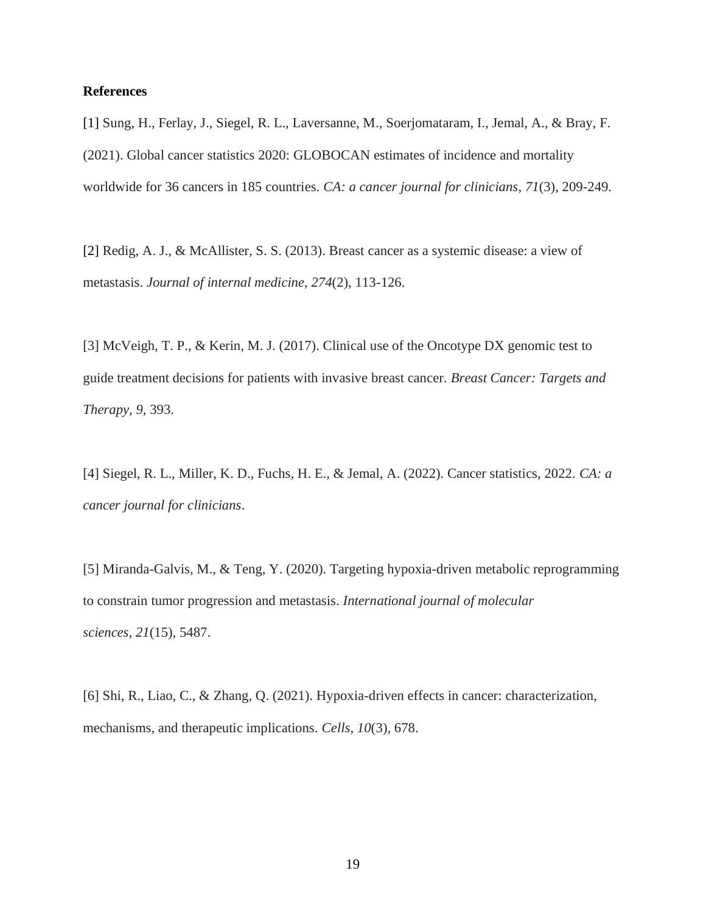#### <span id="page-19-0"></span>**References**

[1] Sung, H., Ferlay, J., Siegel, R. L., Laversanne, M., Soerjomataram, I., Jemal, A., & Bray, F. (2021). Global cancer statistics 2020: GLOBOCAN estimates of incidence and mortality worldwide for 36 cancers in 185 countries. *CA: a cancer journal for clinicians*, *71*(3), 209-249.

[2] Redig, A. J., & McAllister, S. S. (2013). Breast cancer as a systemic disease: a view of metastasis. *Journal of internal medicine*, *274*(2), 113-126.

[3] McVeigh, T. P., & Kerin, M. J. (2017). Clinical use of the Oncotype DX genomic test to guide treatment decisions for patients with invasive breast cancer. *Breast Cancer: Targets and Therapy*, *9*, 393.

[4] Siegel, R. L., Miller, K. D., Fuchs, H. E., & Jemal, A. (2022). Cancer statistics, 2022. *CA: a cancer journal for clinicians*.

[5] Miranda-Galvis, M., & Teng, Y. (2020). Targeting hypoxia-driven metabolic reprogramming to constrain tumor progression and metastasis. *International journal of molecular sciences*, *21*(15), 5487.

[6] Shi, R., Liao, C., & Zhang, Q. (2021). Hypoxia-driven effects in cancer: characterization, mechanisms, and therapeutic implications. *Cells*, *10*(3), 678.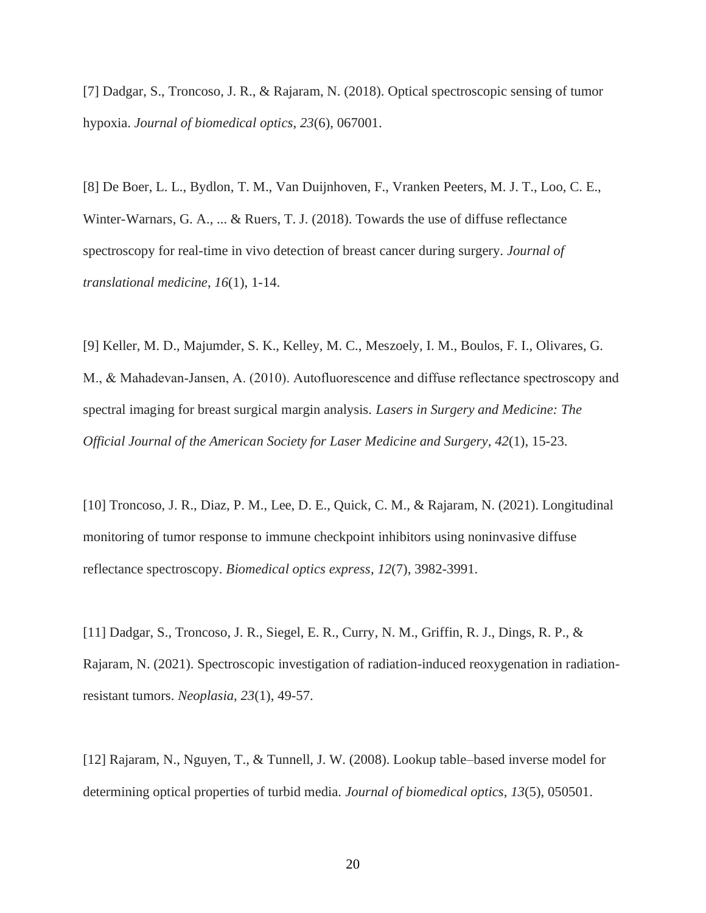[7] Dadgar, S., Troncoso, J. R., & Rajaram, N. (2018). Optical spectroscopic sensing of tumor hypoxia. *Journal of biomedical optics*, *23*(6), 067001.

[8] De Boer, L. L., Bydlon, T. M., Van Duijnhoven, F., Vranken Peeters, M. J. T., Loo, C. E., Winter-Warnars, G. A., ... & Ruers, T. J. (2018). Towards the use of diffuse reflectance spectroscopy for real-time in vivo detection of breast cancer during surgery. *Journal of translational medicine*, *16*(1), 1-14.

[9] Keller, M. D., Majumder, S. K., Kelley, M. C., Meszoely, I. M., Boulos, F. I., Olivares, G. M., & Mahadevan‐Jansen, A. (2010). Autofluorescence and diffuse reflectance spectroscopy and spectral imaging for breast surgical margin analysis. *Lasers in Surgery and Medicine: The Official Journal of the American Society for Laser Medicine and Surgery*, *42*(1), 15-23.

[10] Troncoso, J. R., Diaz, P. M., Lee, D. E., Quick, C. M., & Rajaram, N. (2021). Longitudinal monitoring of tumor response to immune checkpoint inhibitors using noninvasive diffuse reflectance spectroscopy. *Biomedical optics express*, *12*(7), 3982-3991.

[11] Dadgar, S., Troncoso, J. R., Siegel, E. R., Curry, N. M., Griffin, R. J., Dings, R. P., & Rajaram, N. (2021). Spectroscopic investigation of radiation-induced reoxygenation in radiationresistant tumors. *Neoplasia*, *23*(1), 49-57.

[12] Rajaram, N., Nguyen, T., & Tunnell, J. W. (2008). Lookup table–based inverse model for determining optical properties of turbid media. *Journal of biomedical optics*, *13*(5), 050501.